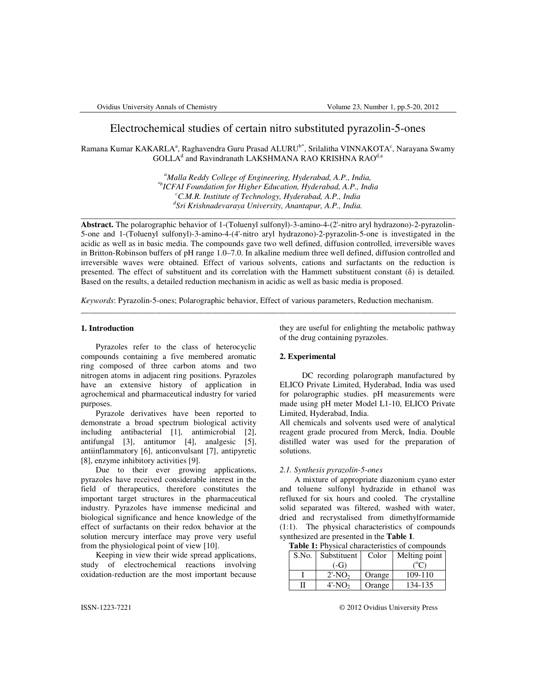# Electrochemical studies of certain nitro substituted pyrazolin-5-ones

Ramana Kumar KAKARLA<sup>a</sup>, Raghavendra Guru Prasad ALURU<sup>b\*</sup>, Srilalitha VINNAKOTA<sup>c</sup>, Narayana Swamy  $\rm GOLLA^d$  and Ravindranath  $\rm LAKSHMANA$  RAO KRISHNA RAO $^{\rm d,a}$ 

> *<sup>a</sup>Malla Reddy College of Engineering, Hyderabad, A.P., India, \*bICFAI Foundation for Higher Education, Hyderabad, A.P., India <sup>c</sup>C.M.R. Institute of Technology, Hyderabad, A.P., India d Sri Krishnadevaraya University, Anantapur, A.P., India.*

\_\_\_\_\_\_\_\_\_\_\_\_\_\_\_\_\_\_\_\_\_\_\_\_\_\_\_\_\_\_\_\_\_\_\_\_\_\_\_\_\_\_\_\_\_\_\_\_\_\_\_\_\_\_\_\_\_\_\_\_\_\_\_\_\_\_\_\_\_\_\_\_\_\_\_\_\_\_\_\_\_\_\_\_\_\_\_\_\_\_\_

**Abstract.** The polarographic behavior of 1-(Toluenyl sulfonyl)-3-amino-4-(2'-nitro aryl hydrazono)-2-pyrazolin-5-one and 1-(Toluenyl sulfonyl)-3-amino-4-(4'-nitro aryl hydrazono)-2-pyrazolin-5-one is investigated in the acidic as well as in basic media. The compounds gave two well defined, diffusion controlled, irreversible waves in Britton-Robinson buffers of pH range 1.0–7.0. In alkaline medium three well defined, diffusion controlled and irreversible waves were obtained. Effect of various solvents, cations and surfactants on the reduction is presented. The effect of substituent and its correlation with the Hammett substituent constant (δ) is detailed. Based on the results, a detailed reduction mechanism in acidic as well as basic media is proposed.

\_\_\_\_\_\_\_\_\_\_\_\_\_\_\_\_\_\_\_\_\_\_\_\_\_\_\_\_\_\_\_\_\_\_\_\_\_\_\_\_\_\_\_\_\_\_\_\_\_\_\_\_\_\_\_\_\_\_\_\_\_\_\_\_\_\_\_\_\_\_\_\_\_\_\_\_\_\_\_\_\_\_\_\_\_\_\_\_\_\_\_

*Keywords*: Pyrazolin-5-ones; Polarographic behavior, Effect of various parameters, Reduction mechanism.

### **1. Introduction**

Pyrazoles refer to the class of heterocyclic compounds containing a five membered aromatic ring composed of three carbon atoms and two nitrogen atoms in adjacent ring positions. Pyrazoles have an extensive history of application in agrochemical and pharmaceutical industry for varied purposes.

Pyrazole derivatives have been reported to demonstrate a broad spectrum biological activity including antibacterial [1], antimicrobial [2], antifungal [3], antitumor [4], analgesic [5], antiinflammatory [6], anticonvulsant [7], antipyretic [8], enzyme inhibitory activities [9].

Due to their ever growing applications, pyrazoles have received considerable interest in the field of therapeutics, therefore constitutes the important target structures in the pharmaceutical industry. Pyrazoles have immense medicinal and biological significance and hence knowledge of the effect of surfactants on their redox behavior at the solution mercury interface may prove very useful from the physiological point of view [10].

Keeping in view their wide spread applications, study of electrochemical reactions involving oxidation-reduction are the most important because

they are useful for enlighting the metabolic pathway of the drug containing pyrazoles.

## **2. Experimental**

DC recording polarograph manufactured by ELICO Private Limited, Hyderabad, India was used for polarographic studies. pH measurements were made using pH meter Model L1-10, ELICO Private Limited, Hyderabad, India.

All chemicals and solvents used were of analytical reagent grade procured from Merck, India. Double distilled water was used for the preparation of solutions.

#### *2.1. Synthesis pyrazolin-5-ones*

A mixture of appropriate diazonium cyano ester and toluene sulfonyl hydrazide in ethanol was refluxed for six hours and cooled. The crystalline solid separated was filtered, washed with water, dried and recrystalised from dimethylformamide (1:1). The physical characteristics of compounds synthesized are presented in the **Table 1**.

|       |                       |        | <b>Table 1:</b> Physical characteristics of compounds |
|-------|-----------------------|--------|-------------------------------------------------------|
| S.No. | Substituent   Color   |        | Melting point                                         |
|       | $(-G)$                |        | ്⊂                                                    |
|       | $2'$ -NO <sub>2</sub> | Orange | 109-110                                               |
| Н     | $4'$ -NO <sub>2</sub> | Orange | 134-135                                               |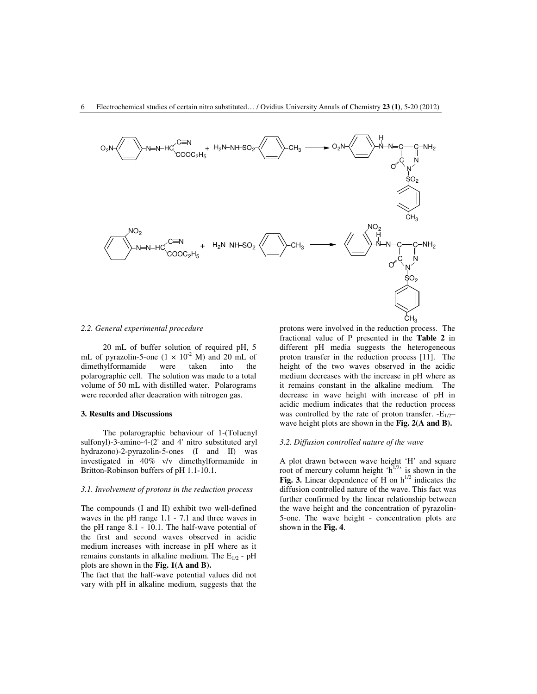

## *2.2. General experimental procedure*

20 mL of buffer solution of required pH, 5 mL of pyrazolin-5-one  $(1 \times 10^{-2} \text{ M})$  and 20 mL of<br>dimethylformamide were taken into the dimethylformamide were taken into the polarographic cell. The solution was made to a total volume of 50 mL with distilled water. Polarograms were recorded after deaeration with nitrogen gas.

### **3. Results and Discussions**

The polarographic behaviour of 1-(Toluenyl sulfonyl)-3-amino-4-(2' and 4' nitro substituted aryl hydrazono)-2-pyrazolin-5-ones (I and II) was investigated in 40% v/v dimethylformamide in Britton-Robinson buffers of pH 1.1-10.1.

### *3.1. Involvement of protons in the reduction process*

The compounds (I and II) exhibit two well-defined waves in the pH range 1.1 - 7.1 and three waves in the pH range 8.1 - 10.1. The half-wave potential of the first and second waves observed in acidic medium increases with increase in pH where as it remains constants in alkaline medium. The  $E_{1/2}$  - pH plots are shown in the **Fig. 1(A and B).**

The fact that the half-wave potential values did not vary with pH in alkaline medium, suggests that the

protons were involved in the reduction process. The fractional value of P presented in the **Table 2** in different pH media suggests the heterogeneous proton transfer in the reduction process [11]. The height of the two waves observed in the acidic medium decreases with the increase in pH where as it remains constant in the alkaline medium. The decrease in wave height with increase of pH in acidic medium indicates that the reduction process was controlled by the rate of proton transfer.  $-E_{1/2}$ – wave height plots are shown in the **Fig. 2(A and B).**

### *3.2. Diffusion controlled nature of the wave*

A plot drawn between wave height 'H' and square root of mercury column height ' $h^{1/2}$ ' is shown in the Fig. 3. Linear dependence of H on  $h^{1/2}$  indicates the diffusion controlled nature of the wave. This fact was further confirmed by the linear relationship between the wave height and the concentration of pyrazolin-5-one. The wave height - concentration plots are shown in the **Fig. 4**.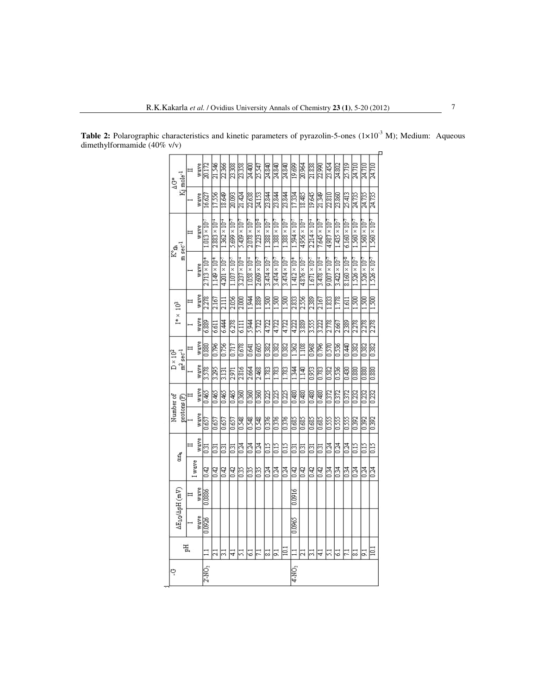| Kj mole <sup>-1</sup><br>ι<br>Δ      | $\equiv$ | wave | 20.172                 | 21.546                 | 22.366                 | 23.308                 | 23.358                 | 24,400                 | 25.547                 | 24.840                  | 24.840                 | 24.840                 | 19.699                 | 20.964                 | 21.838                 | 22.990                 | 23.454                 | 24.802                 | 25.719                 | 24.710                 | 24.710                 | 24.710                 |
|--------------------------------------|----------|------|------------------------|------------------------|------------------------|------------------------|------------------------|------------------------|------------------------|-------------------------|------------------------|------------------------|------------------------|------------------------|------------------------|------------------------|------------------------|------------------------|------------------------|------------------------|------------------------|------------------------|
|                                      |          | wave | 16.627                 | 17.556                 | 18.649                 | 20.093                 | 21.424                 | 22.638                 | 24.153                 | 23.844                  | 23.844                 | 23.844                 | 17.334                 | 18.485                 | 19.645                 | 21.349                 | 22.810                 | 23.860                 | 25.413                 | 24.735                 | 24.735                 | 24.735                 |
| $m\sec^{-1}$<br>k°A                  | $\equiv$ | wave | $.013 \times 10^{-7}$  | $2.883 \times 10^{-4}$ | $1.362 \times 10^{-4}$ | $5.699 \times 10^{-7}$ | $5.439 \times 10^{-7}$ | $2.078 \times 10^{-7}$ | $7.223 \times 10^{-5}$ | $1.388 \times 10^{-7}$  | $1.388 \times 10^{-7}$ | $1.388 \times 10^{-7}$ | $1.594 \times 10^{-5}$ | $4.956 \times 10^{-4}$ | $2.214 \times 10^{-4}$ | $7.645 \times 10^{-7}$ | $4.987 \times 10^{-7}$ | $1.435 \times 10^{-7}$ | $6.160 \times 10^{-7}$ | $1.560 \times 10^{-7}$ | $1.560 \times 10^{-7}$ | $1.560 \times 10^{-7}$ |
|                                      |          | wave | $2.713 \times 10^{-4}$ | $1.149 \times 10^{+1}$ | $4.201 \times 10^{-5}$ | $1.107 \times 10^{-5}$ | $3.237 \times 10^{-4}$ | $1.058 \times 10^{-4}$ | $2.609 \times 10^{-7}$ | $3.474 \times 10^{-7}$  | $3.474 \times 10^{-7}$ | $3.474 \times 10^{-7}$ | $1.412 \times 10^{-4}$ | $4.876 \times 10^{-3}$ | $1.671 \times 10^{-5}$ | $3.478 \times 10^{-4}$ | $9.007 \times 10^{-7}$ | $3.422 \times 10^{-7}$ | $8.160 \times 10^{-8}$ | $1.526 \times 10^{-7}$ | $1.526 \times 10^{-7}$ | $1.526 \times 10^{-7}$ |
| $I^{**}\times 10^3$                  |          | wave | 2.278                  | 2.167                  | 211                    | 2.056                  | 2,000                  | 1.944                  | 1.889                  | $\frac{1500}{200}$      | 1.500                  | 1.500                  | 2.833                  | 2.556                  | 2.389                  | 2.167                  | 1.833                  | 1.778                  | 1.611                  | 1.500                  | 1.500                  | 1.500                  |
|                                      |          | wave | 6.889                  | 6.611                  | 6.44                   | 6.278                  | 6.111                  | 5.944                  | 5.722                  | 4.722                   | 4.722                  | 4.722                  | 4.222                  | 3.889                  | 3.55                   | 3.222                  | 2.778                  | 2.667                  | 2.389                  | 2.278                  | 2.278                  | 2.278                  |
| $m^2$ sec $^{-1}$<br>$D \times 10^2$ |          | wave | 0.880                  | 0.796                  | 0.756                  | 0.717                  | 0.678                  | 0.641                  | $\frac{1}{1000}$       | 32                      | $\frac{0.382}{0.382}$  | 0.382                  | 1362                   | 1.108                  | 0.968                  | 0.796                  | 0.570                  | 0.536                  | 0.440                  | 0.382                  | 0.382                  | 0.382                  |
|                                      |          | wave | 3.578                  | 3.295                  | 3.131                  | 2.971                  | 2.816                  | 2.664                  | 2.468                  | 3                       | $\frac{1783}{2}$       | 1.783                  | 1344                   | 1.140                  | $\overline{0.953}$     | 0.783                  | 0.582                  | 0.536                  | 0.430                  | $\frac{0.880}{2}$      | 0.880                  | 0.880                  |
|                                      |          | wave | 0.465                  | 0.465                  | 0.465                  | 0.465                  | 0.360                  | 0.360                  | $\frac{0.360}{2}$      | $\overline{0.225}$      | 0.225                  | 0.225                  | 0.480                  | 0.480                  | 0.480                  | 0.480                  | 0372                   | 0.372                  | 0.372                  | $\overline{0.232}$     | $\overline{0.232}$     | 0.232                  |
| Number of<br>protons(P)              |          | wave | 0.657                  | 0.657                  | 0.657                  | 0.657                  | 0.548                  | 0.548                  | 0.548                  | $\frac{925}{2}$         | 0.376                  | 0.376                  | 0.685                  | 0.685                  | 0.685                  | 0.685                  | 0.55                   | 0.55                   | 0.55                   | $\frac{262}{3}$        | $\overline{0.392}$     | 0.392                  |
| СШ                                   |          | wave | ទី                     | $\overline{0.31}$      | $\overline{3}$         | $\overline{0.31}$      | 0.24                   | 0.24                   | <b>DZ4</b>             | STO                     | 3                      | $\frac{15}{2}$         | $\overline{63}$        | $\overline{3}$         | $\overline{50}$        | $\overline{0.31}$      | 0.24                   | 0.24                   | 0.24                   | STD                    | STD                    | 3                      |
|                                      | Iwave    |      | 0.42                   | 0.42                   | 0.42                   | 0.42                   | 0.35                   | 0.35                   | 8                      | 0.24                    | 0.24                   | 0.24                   | 0.42                   | 0.42                   | 0.42                   | 0.42                   | 0.34                   | 0.34                   | 0.34                   | 0.24                   | $\overline{0.24}$      | 0.24                   |
| $\Delta E_{1/2}/\Delta pH$ (mV)      |          | wave | 0.0886                 |                        |                        |                        |                        |                        |                        |                         |                        |                        | 0.0016                 |                        |                        |                        |                        |                        |                        |                        |                        |                        |
|                                      |          | wave | 0.0926                 |                        |                        |                        |                        |                        |                        |                         |                        |                        | 0.0965                 |                        |                        |                        |                        |                        |                        |                        |                        |                        |
|                                      | 핈        |      |                        | ಸ                      | 5                      | ₹                      | Ξ                      | $\overline{5}$         | F                      | $\overline{\mathbb{Z}}$ | 5                      | $\Xi$                  |                        | ಷ                      | 틍                      | ₹                      | 51                     | 3                      | 급                      | ವ                      | 51                     | $\overline{101}$       |
| ب                                    |          |      | 2'-NO <sub>2</sub>     |                        |                        |                        |                        |                        |                        |                         |                        |                        | 4-NO <sub>2</sub>      |                        |                        |                        |                        |                        |                        |                        |                        |                        |

Table 2: Polarographic characteristics and kinetic parameters of pyrazolin-5-ones (1×10<sup>-3</sup> M); Medium: Aqueous dimethylformamide (40% v/v)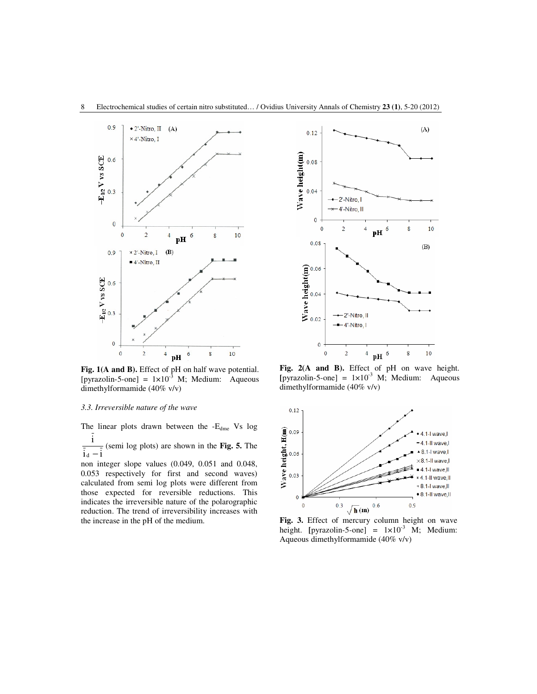

**Fig. 1(A and B).** Effect of pH on half wave potential. [pyrazolin-5-one] =  $1 \times 10^{-3}$  M; Medium: Aqueous dimethylformamide (40% v/v)

## *3.3. Irreversible nature of the wave*

The linear plots drawn between the -E<sub>dme</sub> Vs log i

 $i_d - i$  $d -$ (semi log plots) are shown in the **Fig. 5.** The

non integer slope values (0.049, 0.051 and 0.048, 0.053 respectively for first and second waves) calculated from semi log plots were different from those expected for reversible reductions. This indicates the irreversible nature of the polarographic reduction. The trend of irreversibility increases with the increase in the pH of the medium.



Fig. 2(A and B). Effect of pH on wave height.  $[pyrazolin-5-one] = 1 \times 10^{-3}$  M; Medium: Aqueous dimethylformamide (40% v/v)



**Fig. 3.** Effect of mercury column height on wave height. [pyrazolin-5-one] =  $1 \times 10^{-3}$  M; Medium: Aqueous dimethylformamide (40% v/v)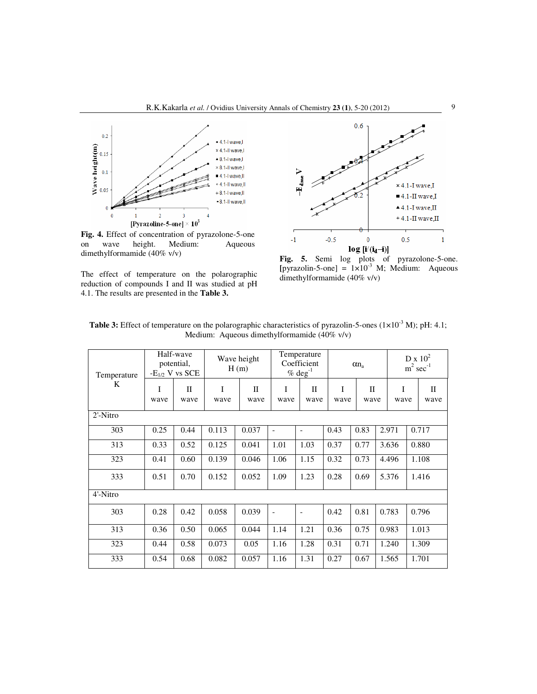

**Fig. 4.** Effect of concentration of pyrazolone-5-one on wave height. Medium: Aqueous dimethylformamide (40% v/v)

The effect of temperature on the polarographic reduction of compounds I and II was studied at pH 4.1. The results are presented in the **Table 3.**



**Fig. 5.** Semi log plots of pyrazolone-5-one.  $[pyrazolin-5-one] = 1 \times 10^{-3}$  M; Medium: Aqueous dimethylformamide (40% v/v)

| Temperature |           | Half-wave<br>potential,<br>$-E_{1/2}$ V vs SCE |           | Wave height<br>H(m)  |                          | Temperature<br>Coefficient<br>$%$ deg <sup>-1</sup> |           | $\alpha n_a$         |           | $D \times 10^2$<br>$m^2$ sec <sup>-1</sup> |
|-------------|-----------|------------------------------------------------|-----------|----------------------|--------------------------|-----------------------------------------------------|-----------|----------------------|-----------|--------------------------------------------|
| K           | I<br>wave | $\mathbf{I}$<br>wave                           | I<br>wave | $\mathbf{I}$<br>wave | I<br>wave                | $\mathbf{I}$<br>wave                                | I<br>wave | $\mathbf{I}$<br>wave | I<br>wave | $\mathbf{I}$<br>wave                       |
| $2'$ -Nitro |           |                                                |           |                      |                          |                                                     |           |                      |           |                                            |
| 303         | 0.25      | 0.44                                           | 0.113     | 0.037                | $\overline{\phantom{0}}$ | $\overline{\phantom{a}}$                            | 0.43      | 0.83                 | 2.971     | 0.717                                      |
| 313         | 0.33      | 0.52                                           | 0.125     | 0.041                | 1.01                     | 1.03                                                | 0.37      | 0.77                 | 3.636     | 0.880                                      |
| 323         | 0.41      | 0.60                                           | 0.139     | 0.046                | 1.06                     | 1.15                                                | 0.32      | 0.73                 | 4.496     | 1.108                                      |
| 333         | 0.51      | 0.70                                           | 0.152     | 0.052                | 1.09                     | 1.23                                                | 0.28      | 0.69                 | 5.376     | 1.416                                      |
| 4'-Nitro    |           |                                                |           |                      |                          |                                                     |           |                      |           |                                            |
| 303         | 0.28      | 0.42                                           | 0.058     | 0.039                | $\overline{a}$           |                                                     | 0.42      | 0.81                 | 0.783     | 0.796                                      |
| 313         | 0.36      | 0.50                                           | 0.065     | 0.044                | 1.14                     | 1.21                                                | 0.36      | 0.75                 | 0.983     | 1.013                                      |
| 323         | 0.44      | 0.58                                           | 0.073     | 0.05                 | 1.16                     | 1.28                                                | 0.31      | 0.71                 | 1.240     | 1.309                                      |
| 333         | 0.54      | 0.68                                           | 0.082     | 0.057                | 1.16                     | 1.31                                                | 0.27      | 0.67                 | 1.565     | 1.701                                      |

Table 3: Effect of temperature on the polarographic characteristics of pyrazolin-5-ones (1×10<sup>-3</sup> M); pH: 4.1; Medium: Aqueous dimethylformamide (40% v/v)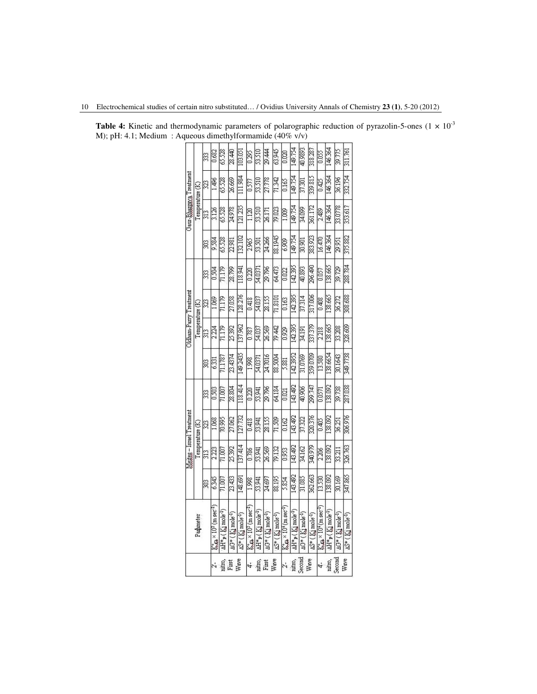|        |                                                                |         |                | Meites – Israel Treatment |         |          |                 | Oldham-Parry Treatment |         |         | Gaur-Bhargaya Treatment |         |         |
|--------|----------------------------------------------------------------|---------|----------------|---------------------------|---------|----------|-----------------|------------------------|---------|---------|-------------------------|---------|---------|
|        | Parameter                                                      |         |                | Temperature (K)           |         |          | Temperature (K) |                        |         |         | Temperature (K)         |         |         |
|        |                                                                | g       | 313            | Į                         | S       | 303      | 313             | I                      | 33      | 98      | $\frac{313}{2}$         | g       | 33      |
|        | $K_{\text{th}} \times 10^3$ (m sec <sup>-1</sup> )             | 6.345   | 2.223          | 68                        | 0.503   | 6331     | 2.224           | 3                      | 0.504   | 9.584   | 3.126                   | . 496   | 0.682   |
|        | AH* <sub>P</sub> (Kimole <sup>-1</sup> )                       | 1007    | 71.007         | 20,995                    | 71.007  | 71.1787  | 71.179          | 11.179                 | 71.179  | 65.528  | 65.528                  | 65.528  | 65.528  |
| Virst  | AG* (Kimole <sup>-1</sup> )                                    | 23,433  | 25.392         | 27.062                    | 28.804  | 23.4374  | 25.392          | 27.058                 | 28.799  | 22.981  | 24.978                  | 26.669  | 28.440  |
| Wave   | $\Delta S^*$ ( $K_1$ mole <sup>-1</sup> )                      | 148.691 | 37,414         | .27.732                   | 18.414  | 49.2435  | 137.962         | 28.276                 | 18.941  | 132.102 | 121.235                 | 11.984  | 103.051 |
|        | $\mathbb{K}_{\mathbf{a}} \times 10^2 \, (\text{m sec}^{-1})$   | 8661    | 0.786          | 0.418                     | 0.220   | 1.998    | 0.787           | 0.418                  | 0.220   | 2.965   | 1120                    | 0.577   | 0.295   |
|        | AH* <sub>P</sub> (Kimole <sup>-1</sup> )                       | 53.941  | 53,941         | 53.941                    | 53.941  | 54.037   | 54.037          | 54.037                 | 54.0371 | 53.501  | 53.510                  | 53.510  | 53.510  |
| First  | $\Delta G^*$ ( $K_1$ mole <sup>-1</sup> )                      | 24.697  | 26.569         | 28.155                    | 29.796  | 24.7016  | 26.569          | 28.155                 | 29.796  | 24.266  | 26.171                  | 27.778  | 29.444  |
| Wave   | AS* (Kimole <sup>-1</sup> )                                    | 88.195  | 79.132         | 71.509                    | 64.184  | 88.5004  | 79.442          | 71.8101                | 64.473  | 88.1945 | 79.023                  | 71.342  | 63.945  |
|        | $K_{\text{em}} \times 10^{4}$ (m sec <sup>-1</sup> )           | 5.854   | 0.953          | 0.162                     | 0.021   | 5.881    | 0.929           | 0.163                  | 0.022   | 6.909   | 1.009                   | 0.165   | 0.020   |
|        | AH* <sub>P</sub> (Kimole <sup>-1</sup> )                       | 43.492  | 43.492         | 143.492                   | 43.492  | 142.3952 | 42.395          | 142.395                | 142.395 | 149.754 | 149.754                 | 49.754  | 49.754  |
| Second | AG*(Kjmole <sup>-1</sup> )                                     | 31.085  | 34.162         | 37.322                    | 40.906  | 31.0769  | 34,191          | 37.314                 | 40.893  | 30.901  | 34.099                  | 37.301  | 40.9893 |
| Wave   | $\Delta S^*$ ( $K_1$ mole <sup>-1</sup> )                      | 362.663 | <b>606 0bS</b> | 320.376                   | 299.747 | 359.0709 | 337.379         | 317.006                | 296.490 | 383.923 | 361.172                 | 339.815 | 318.287 |
|        | $\mathbb{K}_{44}^{\circ} \times 10^{4}$ (m sec <sup>-1</sup> ) | 13.530  | 2.206          | 0.405                     | 0.0571  | 13.580   | 2218            | 0.408                  | 0.057   | 16.470  | 2.489                   | 0.425   | 0.055   |
| nitro, | AH* <sub>P</sub> (Kimole <sup>-1</sup> )                       | 38.092  | 38.092         | 38.092                    | 38.092  | 38.6654  | 38.665          | 138.665                | 38.665  | 146.364 | 146.364                 | 46.364  | 46.364  |
| Second | AG* (Kimole <sup>-1</sup> )                                    | 30.169  | 33.211         | 36.251                    | 39.738  | 30.1643  | 33.208          | 36.272                 | 39.729  | 29.951  | 33.0778                 | 36.196  | 39.775  |
| Wave   | $\Delta S^*$ ( $K_1$ mole <sup>-1</sup> )                      | 347.865 | 326.763        | 306.976                   | 287.038 | 349.7738 | 328.609         | 308.688                | 288.784 | 375.882 | 353.617                 | 332.754 | 311.761 |

**Table 4:** Kinetic and thermodynamic parameters of polarographic reduction of pyrazolin-5-ones  $(1 \times 10^{-3}$ M); pH: 4.1; Medium : Aqueous dimethylformamide (40% v/v)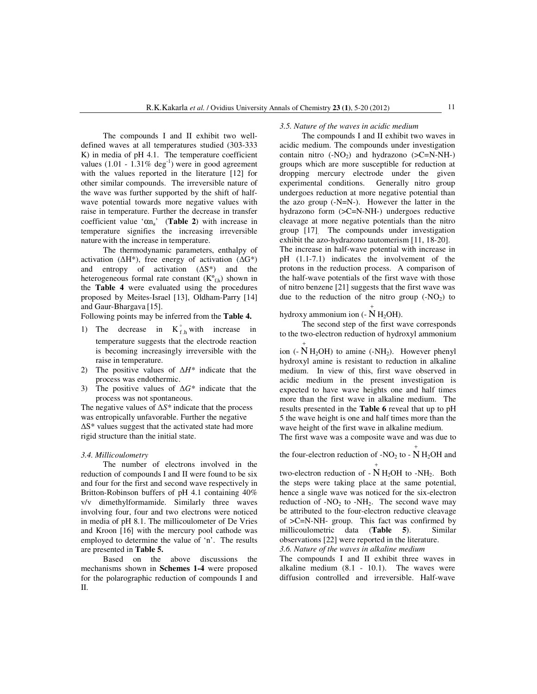The compounds I and II exhibit two welldefined waves at all temperatures studied (303-333 K) in media of pH 4.1. The temperature coefficient values (1.01 -  $1.31\%$  deg<sup>-1</sup>) were in good agreement with the values reported in the literature [12] for other similar compounds. The irreversible nature of the wave was further supported by the shift of halfwave potential towards more negative values with raise in temperature. Further the decrease in transfer coefficient value ' $\alpha n_a$ ' (**Table 2**) with increase in temperature signifies the increasing irreversible nature with the increase in temperature.

The thermodynamic parameters, enthalpy of activation ( $\Delta H^*$ ), free energy of activation ( $\Delta G^*$ ) and entropy of activation (∆S\*) and the heterogeneous formal rate constant  $(K<sup>o</sup><sub>f,h</sub>)$  shown in the **Table 4** were evaluated using the procedures proposed by Meites-Israel [13], Oldham-Parry [14] and Gaur-Bhargava [15].

Following points may be inferred from the **Table 4.**

- 1) The decrease in  $K_{f,h}^{\circ}$  with increase in temperature suggests that the electrode reaction is becoming increasingly irreversible with the raise in temperature.
- 2) The positive values of ∆*H\** indicate that the process was endothermic.
- 3) The positive values of ∆*G\** indicate that the process was not spontaneous.

The negative values of ∆*S\** indicate that the process was entropically unfavorable. Further the negative ∆S\* values suggest that the activated state had more rigid structure than the initial state.

#### *3.4. Millicoulometry*

The number of electrons involved in the reduction of compounds I and II were found to be six and four for the first and second wave respectively in Britton-Robinson buffers of pH 4.1 containing 40% v/v dimethylformamide. Similarly three waves involving four, four and two electrons were noticed in media of pH 8.1. The millicoulometer of De Vries and Kroon [16] with the mercury pool cathode was employed to determine the value of 'n'. The results are presented in **Table 5.**

Based on the above discussions the mechanisms shown in **Schemes 1-4** were proposed for the polarographic reduction of compounds I and II.

#### *3.5. Nature of the waves in acidic medium*

The compounds I and II exhibit two waves in acidic medium. The compounds under investigation contain nitro  $(-NO_2)$  and hydrazono  $(>=CN-NH-)$ groups which are more susceptible for reduction at dropping mercury electrode under the given experimental conditions. Generally nitro group undergoes reduction at more negative potential than the azo group (-N=N-). However the latter in the hydrazono form (>C=N-NH-) undergoes reductive cleavage at more negative potentials than the nitro group [17]. The compounds under investigation exhibit the azo-hydrazono tautomerism [11, 18-20]. The increase in half-wave potential with increase in pH (1.1-7.1) indicates the involvement of the protons in the reduction process. A comparison of the half-wave potentials of the first wave with those

of nitro benzene [21] suggests that the first wave was due to the reduction of the nitro group  $(-NO<sub>2</sub>)$  to +

hydroxy ammonium ion  $(-N H_2OH)$ .

The second step of the first wave corresponds to the two-electron reduction of hydroxyl ammonium

ion (-  $\overrightarrow{N}$  H<sub>2</sub>OH) to amine (-NH<sub>2</sub>). However phenyl hydroxyl amine is resistant to reduction in alkaline medium. In view of this, first wave observed in acidic medium in the present investigation is expected to have wave heights one and half times more than the first wave in alkaline medium. The results presented in the **Table 6** reveal that up to pH 5 the wave height is one and half times more than the wave height of the first wave in alkaline medium.

The first wave was a composite wave and was due to

the four-electron reduction of -NO<sub>2</sub> to -  $\overrightarrow{N}$  H<sub>2</sub>OH and

two-electron reduction of  $- N H_2OH$  to  $-NH_2$ . Both + the steps were taking place at the same potential, hence a single wave was noticed for the six-electron reduction of  $-NO_2$  to  $-NH_2$ . The second wave may be attributed to the four-electron reductive cleavage of >C=N-NH- group. This fact was confirmed by millicoulometric data (**Table 5**). Similar observations [22] were reported in the literature. *3.6. Nature of the waves in alkaline medium* 

The compounds I and II exhibit three waves in alkaline medium (8.1 - 10.1). The waves were diffusion controlled and irreversible. Half-wave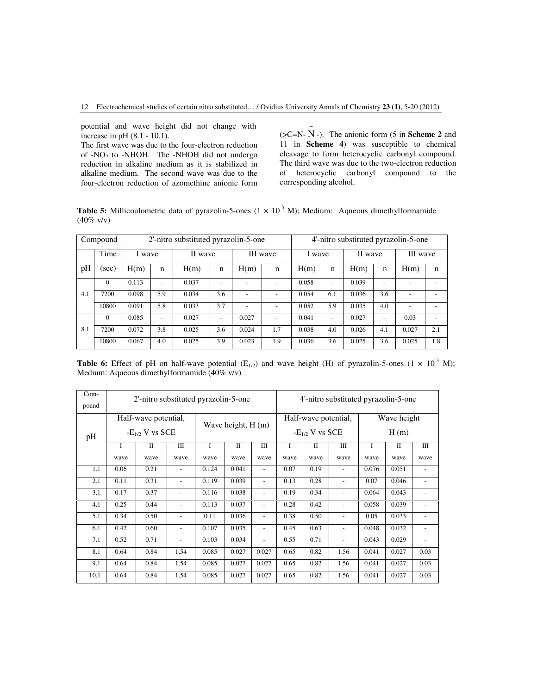potential and wave height did not change with increase in pH (8.1 - 10.1).

The first wave was due to the four-electron reduction of -NO2 to -NHOH. The -NHOH did not undergo reduction in alkaline medium as it is stabilized in alkaline medium. The second wave was due to the four-electron reduction of azomethine anionic form

 $(*SC*=N-N$  -). The anionic form (5 in **Scheme 2** and 11 in **Scheme 4**) was susceptible to chemical cleavage to form heterocyclic carbonyl compound. The third wave was due to the two-electron reduction of heterocyclic carbonyl compound to the corresponding alcohol.

**Table 5:** Millicoulometric data of pyrazolin-5-ones  $(1 \times 10^{-3} \text{ M})$ ; Medium: Aqueous dimethylformamide  $(40\% \text{ v/v})$ 

|     | Compound |        |             | 2'-nitro substituted pyrazolin-5-one |             |                |                          |        |     | 4'-nitro substituted pyrazolin-5-one |     |          |     |
|-----|----------|--------|-------------|--------------------------------------|-------------|----------------|--------------------------|--------|-----|--------------------------------------|-----|----------|-----|
|     | Time     | I wave |             | II wave                              |             |                | III wave                 | I wave |     | II wave                              |     | III wave |     |
| pH  | (sec)    | H(m)   | $\mathbf n$ | H(m)                                 | $\mathbf n$ | H(m)           | $\mathbf n$              | H(m)   | n   | H(m)                                 | n   | H(m)     | n   |
|     | $\Omega$ | 0.113  |             | 0.037                                |             |                | $\overline{\phantom{0}}$ | 0.058  | ۰   | 0.039                                |     |          |     |
| 4.1 | 7200     | 0.098  | 5.9         | 0.034                                | 3.6         | $\blacksquare$ | ۰                        | 0.054  | 6.1 | 0.036                                | 3.6 |          |     |
|     | 10800    | 0.091  | 5.8         | 0.033                                | 3.7         |                | ۰                        | 0.052  | 5.9 | 0.035                                | 4.0 |          |     |
|     | $\Omega$ | 0.085  |             | 0.027                                |             | 0.027          | $\overline{\phantom{0}}$ | 0.041  | ۰   | 0.027                                | ۰   | 0.03     | ۰   |
| 8.1 | 7200     | 0.072  | 3.8         | 0.025                                | 3.6         | 0.024          | 1.7                      | 0.038  | 4.0 | 0.026                                | 4.1 | 0.027    | 2.1 |
|     | 10800    | 0.067  | 4.0         | 0.025                                | 3.9         | 0.023          | 1.9                      | 0.036  | 3.6 | 0.025                                | 3.6 | 0.025    | 1.8 |

**Table 6:** Effect of pH on half-wave potential  $(E_{1/2})$  and wave height (H) of pyrazolin-5-ones (1  $\times$  10<sup>-3</sup> M); Medium: Aqueous dimethylformamide (40% v/v)

| Com-<br>pound |      | 2'-nitro substituted pyrazolin-5-one        |                          |       |                     |                          |      |                                             | 4'-nitro substituted pyrazolin-5-one |       |                     |                          |
|---------------|------|---------------------------------------------|--------------------------|-------|---------------------|--------------------------|------|---------------------------------------------|--------------------------------------|-------|---------------------|--------------------------|
| pH            |      | Half-wave potential,<br>$-E_{1/2}$ V vs SCE |                          |       | Wave height, $H(m)$ |                          |      | Half-wave potential,<br>$-E_{1/2}$ V vs SCE |                                      |       | Wave height<br>H(m) |                          |
|               | I    | $\mathbf{I}$                                | Ш                        | I     | П                   | Ш                        | I    | Π                                           | Ш                                    | I     | $\mathbf{I}$        | Ш                        |
|               | wave | wave                                        | wave                     | wave  | wave                | wave                     | wave | wave                                        | wave                                 | wave  | wave                | wave                     |
| 1.1           | 0.06 | 0.21                                        |                          | 0.124 | 0.041               | $\overline{\phantom{a}}$ | 0.07 | 0.19                                        | $\overline{\phantom{0}}$             | 0.076 | 0.051               | $\overline{\phantom{a}}$ |
| 2.1           | 0.11 | 0.31                                        | $\overline{\phantom{a}}$ | 0.119 | 0.039               | $\sim$                   | 0.13 | 0.28                                        | $\overline{\phantom{0}}$             | 0.07  | 0.046               |                          |
| 3.1           | 0.17 | 0.37                                        | $\overline{\phantom{a}}$ | 0.116 | 0.038               | $\overline{\phantom{a}}$ | 0.19 | 0.34                                        | $\overline{\phantom{0}}$             | 0.064 | 0.043               |                          |
| 4.1           | 0.25 | 0.44                                        |                          | 0.113 | 0.037               | $\sim$                   | 0.28 | 0.42                                        | $\overline{a}$                       | 0.058 | 0.039               |                          |
| 5.1           | 0.34 | 0.50                                        | $\blacksquare$           | 0.11  | 0.036               | $\overline{\phantom{a}}$ | 0.38 | 0.50                                        | $\overline{\phantom{0}}$             | 0.05  | 0.033               |                          |
| 6.1           | 0.42 | 0.60                                        |                          | 0.107 | 0.035               | $\overline{\phantom{a}}$ | 0.45 | 0.63                                        | $\overline{\phantom{0}}$             | 0.048 | 0.032               |                          |
| 7.1           | 0.52 | 0.71                                        | $\blacksquare$           | 0.103 | 0.034               | $\overline{\phantom{a}}$ | 0.55 | 0.71                                        | $\overline{\phantom{0}}$             | 0.043 | 0.029               |                          |
| 8.1           | 0.64 | 0.84                                        | 1.54                     | 0.085 | 0.027               | 0.027                    | 0.65 | 0.82                                        | 1.56                                 | 0.041 | 0.027               | 0.03                     |
| 9.1           | 0.64 | 0.84                                        | 1.54                     | 0.085 | 0.027               | 0.027                    | 0.65 | 0.82                                        | 1.56                                 | 0.041 | 0.027               | 0.03                     |
| 10.1          | 0.64 | 0.84                                        | 1.54                     | 0.085 | 0.027               | 0.027                    | 0.65 | 0.82                                        | 1.56                                 | 0.041 | 0.027               | 0.03                     |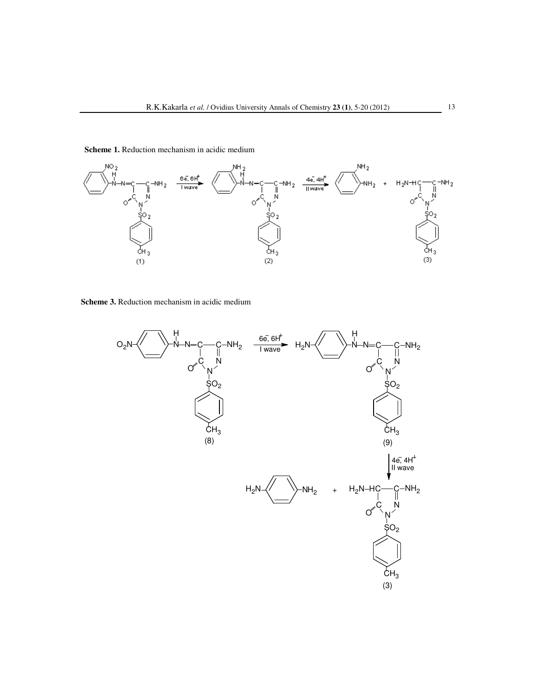

**Scheme 1.** Reduction mechanism in acidic medium

**Scheme 3.** Reduction mechanism in acidic medium

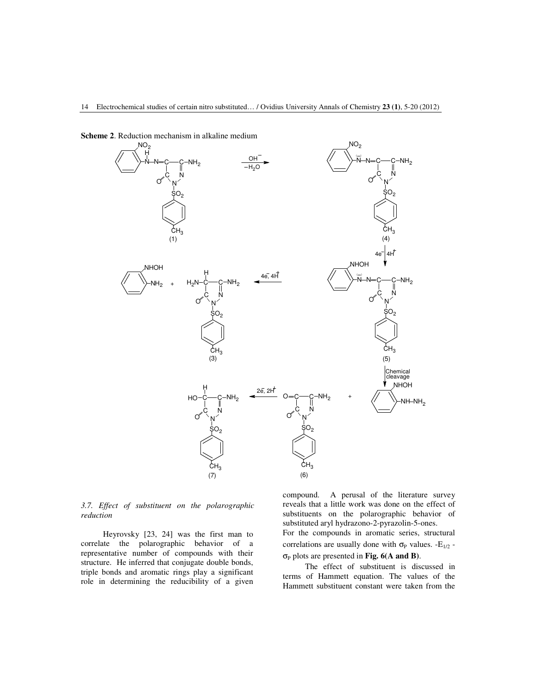

**Scheme 2**. Reduction mechanism in alkaline medium

*3.7. Effect of substituent on the polarographic reduction* 

Heyrovsky [23, 24] was the first man to correlate the polarographic behavior of a representative number of compounds with their structure. He inferred that conjugate double bonds, triple bonds and aromatic rings play a significant role in determining the reducibility of a given

compound. A perusal of the literature survey reveals that a little work was done on the effect of substituents on the polarographic behavior of substituted aryl hydrazono-2-pyrazolin-5-ones. For the compounds in aromatic series, structural correlations are usually done with  $\sigma_P$  values. -E<sub>1/2</sub> σP plots are presented in **Fig. 6(A and B)**.

The effect of substituent is discussed in terms of Hammett equation. The values of the Hammett substituent constant were taken from the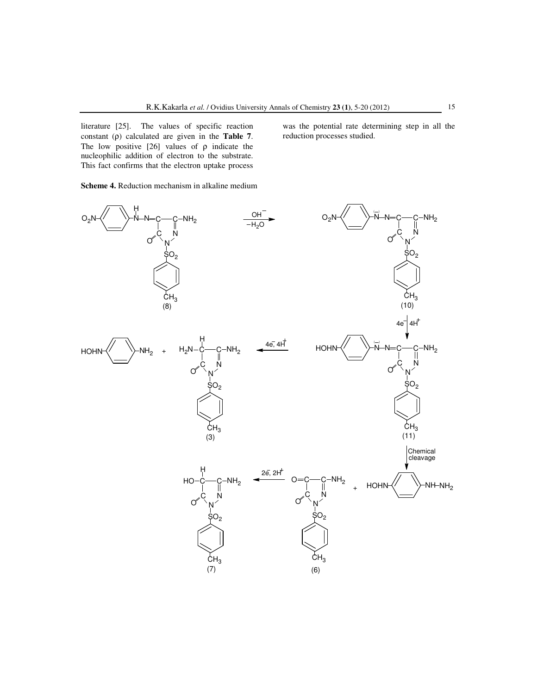literature [25]. The values of specific reaction constant (ρ) calculated are given in the **Table 7**. The low positive  $[26]$  values of  $\rho$  indicate the nucleophilic addition of electron to the substrate. This fact confirms that the electron uptake process

**Scheme 4.** Reduction mechanism in alkaline medium

N—N—C——C C N N နဝ $_{\rm 2}$  $CH<sub>3</sub>$  $NH<sub>2</sub>$ H O  $\mathsf{O}_2\mathsf{N}$ OH  $_{\rm H_2O}$ N-N=C-C C N N  $\Omega$  $CH<sub>3</sub>$  $NH<sub>2</sub>$  $\cap$  $\mathsf{O}_2\mathsf{N}$  $\left( -\right)$  $4e^ 4H^+$ Chemical cleavage  $c$ — $c$ C N N နဝ $_{\rm 2}$  $\mathsf{CH}_3$  $NH<sub>2</sub>$ O O  $HOHN\left\langle\right\langle\right\langle\right\langle\rangle NH-NH_{2}$ 2e, 2H c—c  $\mathsf{N}$ N နဝ $_{\rm 2}$  $CH<sub>3</sub>$ <br>(7)  $NH<sub>2</sub>$ O HO H N-N=C-C  $\overline{\mathsf{N}}$ N  $SO<sub>2</sub>$  $CH<sub>3</sub>$ <br>(11) -NH<sub>2</sub> O **HOHN**  $N-\stackrel{1}{\text{C}}$   $\text{C-NH}_2$   $\longrightarrow$   $\stackrel{4\overline{e}$ ,  $4H$  HOHN  $\left\langle \begin{array}{ccc} & \ & \ \end{array} \right\rangle$   $\stackrel{-}{N}$ C N N နဝ $_{\rm 2}$  $CH<sub>3</sub>$ <br>(3)  $NH<sub>2</sub>$ O **HOHN**  $H<sub>2</sub>$ H (8)  $(3)$  (11)  $(7)$  (6)  $(10)$ 

was the potential rate determining step in all the

reduction processes studied.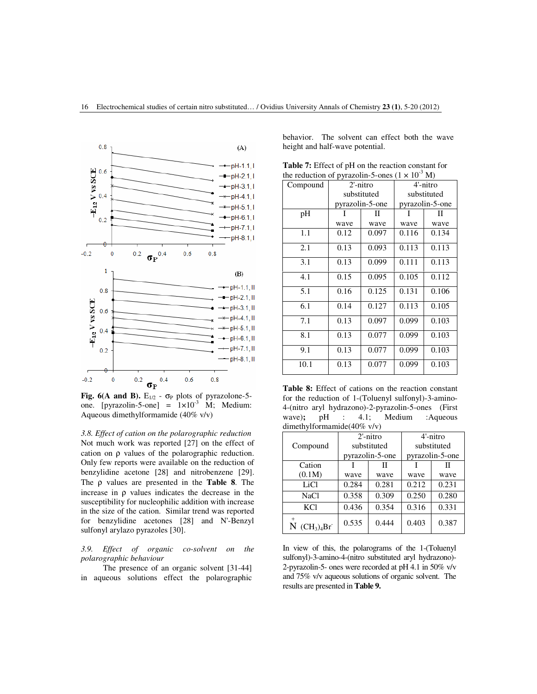

Fig. 6(A and B).  $E_{1/2}$  -  $\sigma_P$  plots of pyrazolone-5one. [pyrazolin-5-one] =  $1 \times 10^{-3}$  M; Medium: Aqueous dimethylformamide (40% v/v)

*3.8. Effect of cation on the polarographic reduction*  Not much work was reported [27] on the effect of cation on ρ values of the polarographic reduction. Only few reports were available on the reduction of benzylidine acetone [28] and nitrobenzene [29]. The ρ values are presented in the **Table 8**. The increase in  $\rho$  values indicates the decrease in the susceptibility for nucleophilic addition with increase in the size of the cation. Similar trend was reported for benzylidine acetones [28] and N'-Benzyl sulfonyl arylazo pyrazoles [30].

*3.9. Effect of organic co-solvent on the polarographic behaviour* 

The presence of an organic solvent [31-44] in aqueous solutions effect the polarographic behavior. The solvent can effect both the wave height and half-wave potential.

| <b>Table 7:</b> Effect of pH on the reaction constant for        |
|------------------------------------------------------------------|
| the reduction of pyrazolin-5-ones $(1 \times 10^{-3} \text{ M})$ |

| Compound |      | $2'$ -nitro     |       | 4'-nitro        |
|----------|------|-----------------|-------|-----------------|
|          |      | substituted     |       | substituted     |
|          |      | pyrazolin-5-one |       | pyrazolin-5-one |
| pH       |      | П               |       | П               |
|          | wave | wave            | wave  | wave            |
| 1.1      | 0.12 | 0.097           | 0.116 | 0.134           |
| 2.1      | 0.13 | 0.093           | 0.113 | 0.113           |
| 3.1      | 0.13 | 0.099           | 0.111 | 0.113           |
| 4.1      | 0.15 | 0.095           | 0.105 | 0.112           |
| 5.1      | 0.16 | 0.125           | 0.131 | 0.106           |
| 6.1      | 0.14 | 0.127           | 0.113 | 0.105           |
| 7.1      | 0.13 | 0.097           | 0.099 | 0.103           |
| 8.1      | 0.13 | 0.077           | 0.099 | 0.103           |
| 9.1      | 0.13 | 0.077           | 0.099 | 0.103           |
| 10.1     | 0.13 | 0.077           | 0.099 | 0.103           |

**Table 8:** Effect of cations on the reaction constant for the reduction of 1-(Toluenyl sulfonyl)-3-amino-4-(nitro aryl hydrazono)-2-pyrazolin-5-ones (First wave); pH : 4.1; Medium :Aqueous dimethylformamide(40% v/v)

|                       |       | $2'$ -nitro     |       | 4'-nitro        |
|-----------------------|-------|-----------------|-------|-----------------|
| Compound              |       | substituted     |       | substituted     |
|                       |       | pyrazolin-5-one |       | pyrazolin-5-one |
| Cation                |       | П               |       | П               |
| (0.1M)                | wave  | wave            | wave  | wave            |
| LiCl                  | 0.284 | 0.281           | 0.212 | 0.231           |
| NaCl                  | 0.358 | 0.309           | 0.250 | 0.280           |
| KC1                   | 0.436 | 0.354           | 0.316 | 0.331           |
| $^{+}$<br>$(CH3)4Br-$ | 0.535 | 0.444           | 0.403 | 0.387           |

In view of this, the polarograms of the 1-(Toluenyl sulfonyl)-3-amino-4-(nitro substituted aryl hydrazono)- 2-pyrazolin-5- ones were recorded at pH 4.1 in 50% v/v and 75% v/v aqueous solutions of organic solvent. The results are presented in **Table 9.**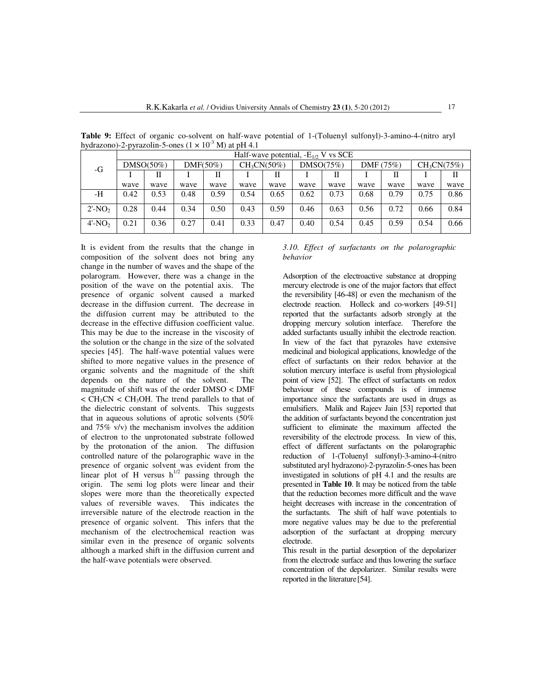|                       | . .  |              |      |             |      | Half-wave potential, $-E_{1/2}$ V vs SCE |      |           |      |             |      |                         |
|-----------------------|------|--------------|------|-------------|------|------------------------------------------|------|-----------|------|-------------|------|-------------------------|
| $-G$                  |      | $DMSO(50\%)$ |      | $DMF(50\%)$ |      | CH <sub>3</sub> CN(50%)                  |      | DMSO(75%) |      | DMF $(75%)$ |      | CH <sub>3</sub> CN(75%) |
|                       |      |              |      | П           |      | Н                                        |      | П         |      | Н           |      | П                       |
|                       | wave | wave         | wave | wave        | wave | wave                                     | wave | wave      | wave | wave        | wave | wave                    |
| -H                    | 0.42 | 0.53         | 0.48 | 0.59        | 0.54 | 0.65                                     | 0.62 | 0.73      | 0.68 | 0.79        | 0.75 | 0.86                    |
| $2'$ -NO <sub>2</sub> | 0.28 | 0.44         | 0.34 | 0.50        | 0.43 | 0.59                                     | 0.46 | 0.63      | 0.56 | 0.72        | 0.66 | 0.84                    |
| $4'$ -NO <sub>2</sub> | 0.21 | 0.36         | 0.27 | 0.41        | 0.33 | 0.47                                     | 0.40 | 0.54      | 0.45 | 0.59        | 0.54 | 0.66                    |

**Table 9:** Effect of organic co-solvent on half-wave potential of 1-(Toluenyl sulfonyl)-3-amino-4-(nitro aryl hydrazono)-2-pyrazolin-5-ones ( $1 \times 10^{-3}$  M) at pH 4.1

It is evident from the results that the change in composition of the solvent does not bring any change in the number of waves and the shape of the polarogram. However, there was a change in the position of the wave on the potential axis. The presence of organic solvent caused a marked decrease in the diffusion current. The decrease in the diffusion current may be attributed to the decrease in the effective diffusion coefficient value. This may be due to the increase in the viscosity of the solution or the change in the size of the solvated species [45]. The half-wave potential values were shifted to more negative values in the presence of organic solvents and the magnitude of the shift depends on the nature of the solvent. The magnitude of shift was of the order DMSO < DMF  $\langle$  CH<sub>3</sub>CN  $\langle$  CH<sub>3</sub>OH. The trend parallels to that of the dielectric constant of solvents. This suggests that in aqueous solutions of aprotic solvents (50% and 75% v/v) the mechanism involves the addition of electron to the unprotonated substrate followed by the protonation of the anion. The diffusion controlled nature of the polarographic wave in the presence of organic solvent was evident from the linear plot of H versus  $h^{1/2}$  passing through the origin. The semi log plots were linear and their slopes were more than the theoretically expected values of reversible waves. This indicates the irreversible nature of the electrode reaction in the presence of organic solvent. This infers that the mechanism of the electrochemical reaction was similar even in the presence of organic solvents although a marked shift in the diffusion current and the half-wave potentials were observed.

*3.10. Effect of surfactants on the polarographic behavior* 

Adsorption of the electroactive substance at dropping mercury electrode is one of the major factors that effect the reversibility [46-48] or even the mechanism of the electrode reaction. Holleck and co-workers [49-51] reported that the surfactants adsorb strongly at the dropping mercury solution interface. Therefore the added surfactants usually inhibit the electrode reaction. In view of the fact that pyrazoles have extensive medicinal and biological applications, knowledge of the effect of surfactants on their redox behavior at the solution mercury interface is useful from physiological point of view [52]. The effect of surfactants on redox behaviour of these compounds is of immense importance since the surfactants are used in drugs as emulsifiers. Malik and Rajeev Jain [53] reported that the addition of surfactants beyond the concentration just sufficient to eliminate the maximum affected the reversibility of the electrode process. In view of this, effect of different surfactants on the polarographic reduction of 1-(Toluenyl sulfonyl)-3-amino-4-(nitro substituted aryl hydrazono)-2-pyrazolin-5-ones has been investigated in solutions of pH 4.1 and the results are presented in **Table 10**. It may be noticed from the table that the reduction becomes more difficult and the wave height decreases with increase in the concentration of the surfactants. The shift of half wave potentials to more negative values may be due to the preferential adsorption of the surfactant at dropping mercury electrode.

This result in the partial desorption of the depolarizer from the electrode surface and thus lowering the surface concentration of the depolarizer. Similar results were reported in the literature [54].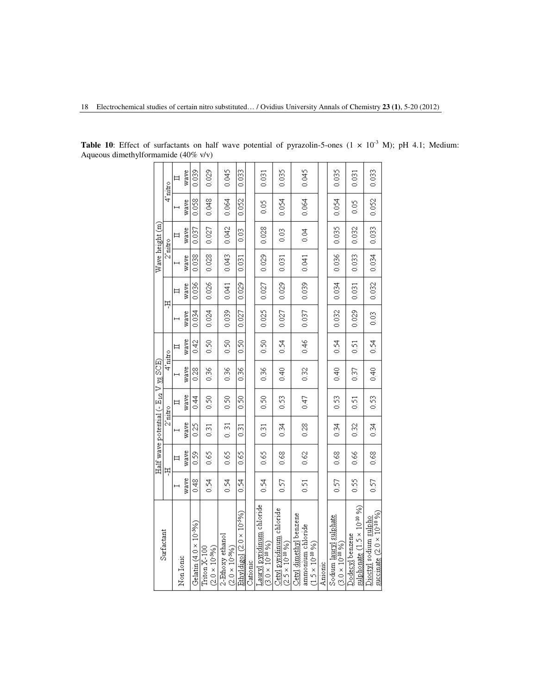|                                                                         |      |      |                |                    | Half wave potential ( $-E_{1/2}$ V $\rm{yz}$ SCE) |         |       |       |                    | Wave height (m) |       |         |
|-------------------------------------------------------------------------|------|------|----------------|--------------------|---------------------------------------------------|---------|-------|-------|--------------------|-----------------|-------|---------|
| Surfactant                                                              |      | 부    |                | $2^{\prime}$ nitro |                                                   | 4'nitro |       | 부     | $2^{\prime}$ nitro |                 |       | 4'nitro |
| Non Ionic                                                               |      | ᄇ    |                | ᄇ                  |                                                   |         |       |       |                    |                 |       | Ħ       |
|                                                                         | wave | wave | wave           | wave               | wave                                              | wave    | wave  | wave  | wave               | wave            | wave  | wave    |
| Gelatin $(4.0 \times 10^{-9}6)$                                         | 0.48 | 0.59 | 0.25           | 0.44               | 0.28                                              | 0.42    | 0.034 | 0.036 | 0.038              | 0.037           | 0.058 | 0.039   |
| $(2.0 \times 10^{59}$ %)<br>$Triton X-100$                              | 0.54 | 0.65 | 0.31           | 0.50               | 0.36                                              | 0.50    | 0.024 | 0.026 | 0.028              | 0.027           | 0.048 | 0.029   |
| 2-Ethoxy ethanol<br>$(2.0 \times 10^{59/6})$                            | 0.54 | 0.65 | 19<br>5        | 0.50               | 0.36                                              | 0.50    | 0.039 | 0.041 | 0.043              | 0.042           | 0.064 | 0.045   |
| $Etbyldigol(2.0 \times 10^{-5})$                                        | 0.54 | 0.65 | 0.31           | 0.50               | 0.36                                              | 0.50    | 0.027 | 0.029 | 0.031              | 0.03            | 0.052 | 0.033   |
| Cationic                                                                |      |      |                |                    |                                                   |         |       |       |                    |                 |       |         |
| Lauryl pyndinum chloride<br>$(3.0 \times 10^{10} %$                     | 0.54 | 0.65 | $\overline{3}$ | 0.50               | 0.36                                              | 0.50    | 0.025 | 0.027 | 0.029              | 0.028           | 0.05  | 0.031   |
| Cetyl pyridinum chloride<br>$(2.5 \times 10^{10} %)$                    | 0.57 | 0.68 | 0.34           | 0.53               | 0.40                                              | 0.54    | 0.027 | 0.029 | 0.031              | 0.03            | 0.054 | 0.035   |
| Cetxl dimethyl benzene<br>ammonium chloride<br>$(1.5 \times 10^{10} %)$ | 0.51 | 0.62 | 0.28           | 0.47               | 0.32                                              | 0.46    | 0.037 | 0.039 | 0.041              | 0.04            | 0.064 | 0.045   |
| Amome                                                                   |      |      |                |                    |                                                   |         |       |       |                    |                 |       |         |
| Sodum lauryl sulphate<br>$(3.0 \times 10^{10} %)$                       | 0.57 | 0.68 | 0.34           | 0.53               | 0.40                                              | 0.54    | 0.032 | 0.034 | 0.036              | 0.035           | 0.054 | 0.035   |
| sulphonate (1.5 × 10 <sup>-10</sup> %)<br>Dodecyl benzene               | 0.55 | 0.66 | 0.32           | 0.51               | 0.37                                              | 0.51    | 0.029 | 0.031 | 0.033              | 0.032           | 0.05  | 0.031   |
| succinate $(2.0 \times 10^{10} \% )$<br>Dioctyl sodium sulpho           | 0.57 | 0.68 | 0.34           | 0.53               | 0.40                                              | 0.54    | 0.03  | 0.032 | 0.034              | 0.033           | 0.052 | 0.033   |

**Table 10**: Effect of surfactants on half wave potential of pyrazolin-5-ones  $(1 \times 10^{-3} \text{ M})$ ; pH 4.1; Medium: Aqueous dimethylformamide (40% v/v)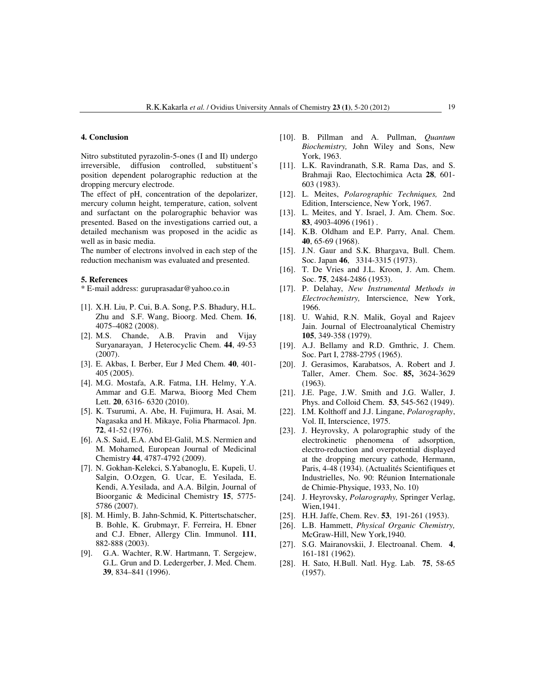## **4. Conclusion**

Nitro substituted pyrazolin-5-ones (I and II) undergo irreversible, diffusion controlled, substituent's position dependent polarographic reduction at the dropping mercury electrode.

The effect of pH, concentration of the depolarizer, mercury column height, temperature, cation, solvent and surfactant on the polarographic behavior was presented. Based on the investigations carried out, a detailed mechanism was proposed in the acidic as well as in basic media.

The number of electrons involved in each step of the reduction mechanism was evaluated and presented.

#### **5. References**

\* E-mail address: guruprasadar@yahoo.co.in

- [1]. X.H. Liu, P. Cui, B.A. Song, P.S. Bhadury, H.L. Zhu and S.F. Wang, Bioorg. Med. Chem. **16**, 4075–4082 (2008).
- [2]. M.S. Chande, A.B. Pravin and Vijay Suryanarayan, J Heterocyclic Chem. **44**, 49-53 (2007).
- [3]. E. Akbas, I. Berber, Eur J Med Chem. **40**, 401- 405 (2005).
- [4]. M.G. Mostafa, A.R. Fatma, I.H. Helmy, Y.A. Ammar and G.E. Marwa, Bioorg Med Chem Lett. **20**, 6316- 6320 (2010).
- [5]. K. Tsurumi, A. Abe, H. Fujimura, H. Asai, M. Nagasaka and H. Mikaye, Folia Pharmacol. Jpn. **72**, 41-52 (1976).
- [6]. A.S. Said, E.A. Abd El-Galil, M.S. Nermien and M. Mohamed, European Journal of Medicinal Chemistry **44**, 4787-4792 (2009).
- [7]. N. Gokhan-Kelekci, S.Yabanoglu, E. Kupeli, U. Salgin, O.Ozgen, G. Ucar, E. Yesilada, E. Kendi, A.Yesilada, and A.A. Bilgin, Journal of Bioorganic & Medicinal Chemistry **15**, 5775- 5786 (2007).
- [8]. M. Himly, B. Jahn-Schmid, K. Pittertschatscher, B. Bohle, K. Grubmayr, F. Ferreira, H. Ebner and C.J. Ebner, Allergy Clin. Immunol. **111**, 882-888 (2003).
- [9]. G.A. Wachter, R.W. Hartmann, T. Sergejew, G.L. Grun and D. Ledergerber, J. Med. Chem. **39**, 834–841 (1996).
- [10]. B. Pillman and A. Pullman, *Quantum Biochemistry,* John Wiley and Sons, New York, 1963.
- [11]. L.K. Ravindranath, S.R. Rama Das, and S. Brahmaji Rao, Electochimica Acta **28**, 601- 603 (1983).
- [12]. L. Meites, *Polarographic Techniques,* 2nd Edition, Interscience, New York, 1967.
- [13]. L. Meites, and Y. Israel, J. Am. Chem. Soc. **83**, 4903-4096 (1961) .
- [14]. K.B. Oldham and E.P. Parry, Anal. Chem. **40**, 65-69 (1968).
- [15]. J.N. Gaur and S.K. Bhargava, Bull. Chem. Soc. Japan **46**, 3314-3315 (1973).
- [16]. T. De Vries and J.L. Kroon, J. Am. Chem. Soc. **75**, 2484-2486 (1953).
- [17]. P. Delahay, *New Instrumental Methods in Electrochemistry,* Interscience, New York, 1966.
- [18]. U. Wahid, R.N. Malik, Goyal and Rajeev Jain. Journal of Electroanalytical Chemistry **105**, 349-358 (1979).
- [19]. A.J. Bellamy and R.D. Gmthric, J. Chem. Soc. Part I, 2788-2795 (1965).
- [20]. J. Gerasimos, Karabatsos, A. Robert and J. Taller, Amer. Chem. Soc. **85,** 3624-3629 (1963).
- [21]. J.E. Page, J.W. Smith and J.G. Waller, J. Phys. and Colloid Chem. **53**, 545-562 (1949).
- [22]. I.M. Kolthoff and J.J. Lingane, *Polarography*, Vol. II, Interscience, 1975.
- [23]. J. Heyrovsky, A polarographic study of the electrokinetic phenomena of adsorption, electro-reduction and overpotential displayed at the dropping mercury cathode*,* Hermann, Paris, 4-48 (1934). (Actualités Scientifiques et Industrielles, No. 90: Réunion Internationale de Chimie-Physique, 1933, No. 10)
- [24]. J. Heyrovsky, *Polarography,* Springer Verlag, Wien,1941.
- [25]. H.H. Jaffe, Chem. Rev. **53**, 191-261 (1953).
- [26]. L.B. Hammett, *Physical Organic Chemistry,* McGraw-Hill, New York,1940.
- [27]. S.G. Mairanovskii, J. Electroanal. Chem. **4**, 161-181 (1962).
- [28]. H. Sato, H.Bull. Natl. Hyg. Lab. **75**, 58-65 (1957).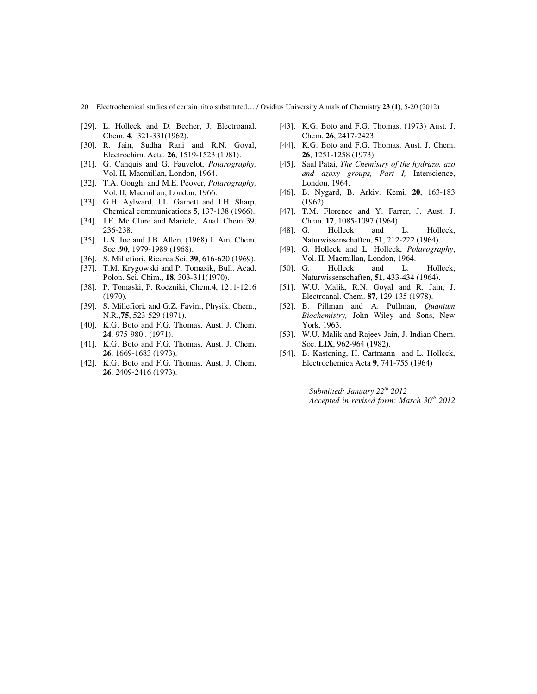# 20 Electrochemical studies of certain nitro substituted… / Ovidius University Annals of Chemistry **23 (1)**, 5-20 (2012)

- [29]. L. Holleck and D. Becher, J. Electroanal. Chem. **4**, 321-331(1962).
- [30]. R. Jain, Sudha Rani and R.N. Goyal, Electrochim. Acta. **26**, 1519-1523 (1981).
- [31]. G. Canquis and G. Fauvelot, *Polarography,* Vol. II, Macmillan, London, 1964.
- [32]. T.A. Gough, and M.E. Peover, *Polarography,* Vol. II, Macmillan, London, 1966.
- [33]. G.H. Aylward, J.L. Garnett and J.H. Sharp, Chemical communications **5**, 137-138 (1966).
- [34]. J.E. Mc Clure and Maricle, Anal. Chem 39, 236-238.
- [35]. L.S. Joe and J.B. Allen, (1968) J. Am. Chem. Soc .**90**, 1979-1989 (1968).
- [36]. S. Millefiori, Ricerca Sci. **39**, 616-620 (1969).
- [37]. T.M. Krygowski and P. Tomasik, Bull. Acad. Polon. Sci. Chim., **18**, 303-311(1970).
- [38]. P. Tomaski, P. Roczniki, Chem.**4**, 1211-1216 (1970).
- [39]. S. Millefiori, and G.Z. Favini, Physik. Chem., N.R.,**75**, 523-529 (1971).
- [40]. K.G. Boto and F.G. Thomas, Aust. J. Chem. **24**, 975-980 . (1971).
- [41]. K.G. Boto and F.G. Thomas, Aust. J. Chem. **26**, 1669-1683 (1973).
- [42]. K.G. Boto and F.G. Thomas, Aust. J. Chem. **26**, 2409-2416 (1973).
- [43]. K.G. Boto and F.G. Thomas, (1973) Aust. J. Chem. **26**, 2417-2423
- [44]. K.G. Boto and F.G. Thomas, Aust. J. Chem. **26**, 1251-1258 (1973).
- [45]. Saul Patai, *The Chemistry of the hydrazo, azo and azoxy groups, Part I,* Interscience, London, 1964.
- [46]. B. Nygard, B. Arkiv. Kemi. **20**, 163-183 (1962).
- [47]. T.M. Florence and Y. Farrer, J. Aust. J. Chem. **17**, 1085-1097 (1964).
- [48]. G. Holleck and L. Holleck, Naturwissenschaften, **51**, 212-222 (1964).
- [49]. G. Holleck and L. Holleck, *Polarography*, Vol. II, Macmillan, London, 1964.
- [50]. G. Holleck and L. Holleck, Naturwissenschaften, **51**, 433-434 (1964).
- [51]. W.U. Malik, R.N. Goyal and R. Jain, J. Electroanal. Chem. **87**, 129-135 (1978).
- [52]. B. Pillman and A. Pullman, *Quantum Biochemistry,* John Wiley and Sons, New York, 1963.
- [53]. W.U. Malik and Rajeev Jain, J. Indian Chem. Soc. **LIX**, 962-964 (1982).
- [54]. B. Kastening, H. Cartmann and L. Holleck, Electrochemica Acta **9**, 741-755 (1964)

*Submitted: January 22th 2012 Accepted in revised form: March 30th 2012*